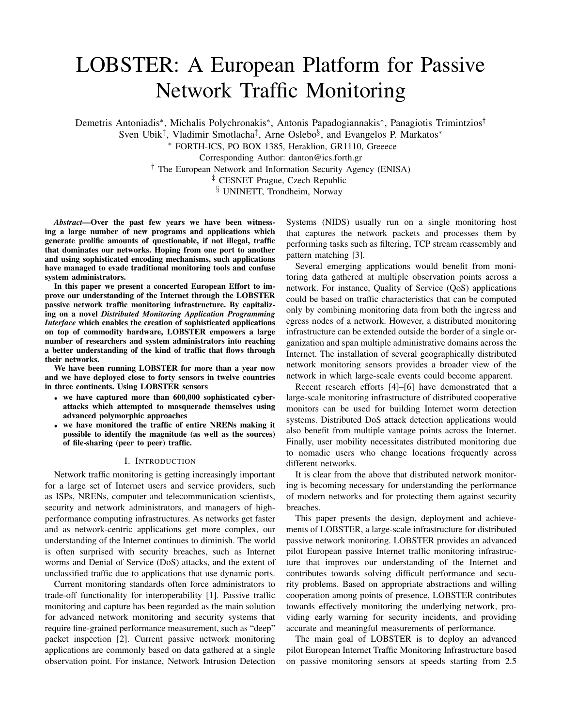# LOBSTER: A European Platform for Passive Network Traffic Monitoring

Demetris Antoniadis\*, Michalis Polychronakis\*, Antonis Papadogiannakis\*, Panagiotis Trimintzios<sup>†</sup>

Sven Ubik<sup>‡</sup>, Vladimir Smotlacha<sup>‡</sup>, Arne Oslebo<sup>§</sup>, and Evangelos P. Markatos<sup>\*</sup>

<sup>∗</sup> FORTH-ICS, PO BOX 1385, Heraklion, GR1110, Greeece

Corresponding Author: danton@ics.forth.gr

† The European Network and Information Security Agency (ENISA)

‡ CESNET Prague, Czech Republic

§ UNINETT, Trondheim, Norway

*Abstract*—Over the past few years we have been witnessing a large number of new programs and applications which generate prolific amounts of questionable, if not illegal, traffic that dominates our networks. Hoping from one port to another and using sophisticated encoding mechanisms, such applications have managed to evade traditional monitoring tools and confuse system administrators.

In this paper we present a concerted European Effort to improve our understanding of the Internet through the LOBSTER passive network traffic monitoring infrastructure. By capitalizing on a novel *Distributed Monitoring Application Programming Interface* which enables the creation of sophisticated applications on top of commodity hardware, LOBSTER empowers a large number of researchers and system administrators into reaching a better understanding of the kind of traffic that flows through their networks.

We have been running LOBSTER for more than a year now and we have deployed close to forty sensors in twelve countries in three continents. Using LOBSTER sensors

- we have captured more than 600,000 sophisticated cyberattacks which attempted to masquerade themselves using advanced polymorphic approaches
- we have monitored the traffic of entire NRENs making it possible to identify the magnitude (as well as the sources) of file-sharing (peer to peer) traffic.

# I. INTRODUCTION

Network traffic monitoring is getting increasingly important for a large set of Internet users and service providers, such as ISPs, NRENs, computer and telecommunication scientists, security and network administrators, and managers of highperformance computing infrastructures. As networks get faster and as network-centric applications get more complex, our understanding of the Internet continues to diminish. The world is often surprised with security breaches, such as Internet worms and Denial of Service (DoS) attacks, and the extent of unclassified traffic due to applications that use dynamic ports.

Current monitoring standards often force administrators to trade-off functionality for interoperability [1]. Passive traffic monitoring and capture has been regarded as the main solution for advanced network monitoring and security systems that require fine-grained performance measurement, such as "deep" packet inspection [2]. Current passive network monitoring applications are commonly based on data gathered at a single observation point. For instance, Network Intrusion Detection

Systems (NIDS) usually run on a single monitoring host that captures the network packets and processes them by performing tasks such as filtering, TCP stream reassembly and pattern matching [3].

Several emerging applications would benefit from monitoring data gathered at multiple observation points across a network. For instance, Quality of Service (QoS) applications could be based on traffic characteristics that can be computed only by combining monitoring data from both the ingress and egress nodes of a network. However, a distributed monitoring infrastructure can be extended outside the border of a single organization and span multiple administrative domains across the Internet. The installation of several geographically distributed network monitoring sensors provides a broader view of the network in which large-scale events could become apparent.

Recent research efforts [4]–[6] have demonstrated that a large-scale monitoring infrastructure of distributed cooperative monitors can be used for building Internet worm detection systems. Distributed DoS attack detection applications would also benefit from multiple vantage points across the Internet. Finally, user mobility necessitates distributed monitoring due to nomadic users who change locations frequently across different networks.

It is clear from the above that distributed network monitoring is becoming necessary for understanding the performance of modern networks and for protecting them against security breaches.

This paper presents the design, deployment and achievements of LOBSTER, a large-scale infrastructure for distributed passive network monitoring. LOBSTER provides an advanced pilot European passive Internet traffic monitoring infrastructure that improves our understanding of the Internet and contributes towards solving difficult performance and security problems. Based on appropriate abstractions and willing cooperation among points of presence, LOBSTER contributes towards effectively monitoring the underlying network, providing early warning for security incidents, and providing accurate and meaningful measurements of performance.

The main goal of LOBSTER is to deploy an advanced pilot European Internet Traffic Monitoring Infrastructure based on passive monitoring sensors at speeds starting from 2.5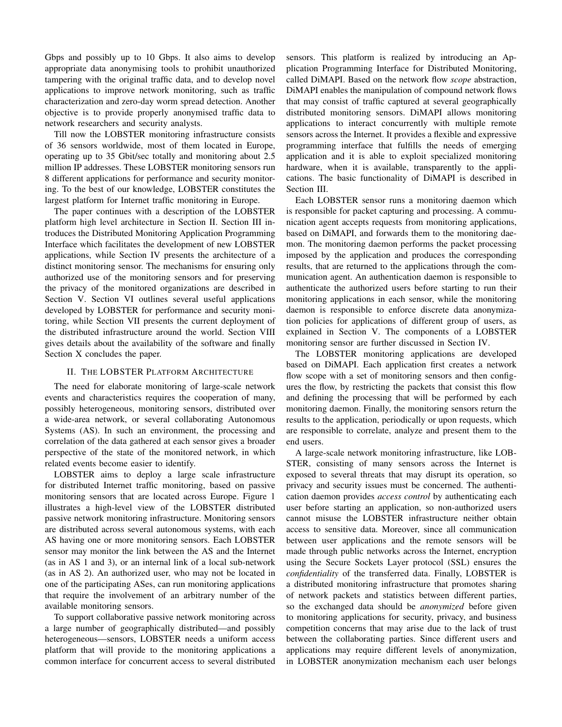Gbps and possibly up to 10 Gbps. It also aims to develop appropriate data anonymising tools to prohibit unauthorized tampering with the original traffic data, and to develop novel applications to improve network monitoring, such as traffic characterization and zero-day worm spread detection. Another objective is to provide properly anonymised traffic data to network researchers and security analysts.

Till now the LOBSTER monitoring infrastructure consists of 36 sensors worldwide, most of them located in Europe, operating up to 35 Gbit/sec totally and monitoring about 2.5 million IP addresses. These LOBSTER monitoring sensors run 8 different applications for performance and security monitoring. To the best of our knowledge, LOBSTER constitutes the largest platform for Internet traffic monitoring in Europe.

The paper continues with a description of the LOBSTER platform high level architecture in Section II. Section III introduces the Distributed Monitoring Application Programming Interface which facilitates the development of new LOBSTER applications, while Section IV presents the architecture of a distinct monitoring sensor. The mechanisms for ensuring only authorized use of the monitoring sensors and for preserving the privacy of the monitored organizations are described in Section V. Section VI outlines several useful applications developed by LOBSTER for performance and security monitoring, while Section VII presents the current deployment of the distributed infrastructure around the world. Section VIII gives details about the availability of the software and finally Section X concludes the paper.

#### II. THE LOBSTER PLATFORM ARCHITECTURE

The need for elaborate monitoring of large-scale network events and characteristics requires the cooperation of many, possibly heterogeneous, monitoring sensors, distributed over a wide-area network, or several collaborating Autonomous Systems (AS). In such an environment, the processing and correlation of the data gathered at each sensor gives a broader perspective of the state of the monitored network, in which related events become easier to identify.

LOBSTER aims to deploy a large scale infrastructure for distributed Internet traffic monitoring, based on passive monitoring sensors that are located across Europe. Figure 1 illustrates a high-level view of the LOBSTER distributed passive network monitoring infrastructure. Monitoring sensors are distributed across several autonomous systems, with each AS having one or more monitoring sensors. Each LOBSTER sensor may monitor the link between the AS and the Internet (as in AS 1 and 3), or an internal link of a local sub-network (as in AS 2). An authorized user, who may not be located in one of the participating ASes, can run monitoring applications that require the involvement of an arbitrary number of the available monitoring sensors.

To support collaborative passive network monitoring across a large number of geographically distributed—and possibly heterogeneous—sensors, LOBSTER needs a uniform access platform that will provide to the monitoring applications a common interface for concurrent access to several distributed sensors. This platform is realized by introducing an Application Programming Interface for Distributed Monitoring, called DiMAPI. Based on the network flow *scope* abstraction, DiMAPI enables the manipulation of compound network flows that may consist of traffic captured at several geographically distributed monitoring sensors. DiMAPI allows monitoring applications to interact concurrently with multiple remote sensors across the Internet. It provides a flexible and expressive programming interface that fulfills the needs of emerging application and it is able to exploit specialized monitoring hardware, when it is available, transparently to the applications. The basic functionality of DiMAPI is described in Section III.

Each LOBSTER sensor runs a monitoring daemon which is responsible for packet capturing and processing. A communication agent accepts requests from monitoring applications, based on DiMAPI, and forwards them to the monitoring daemon. The monitoring daemon performs the packet processing imposed by the application and produces the corresponding results, that are returned to the applications through the communication agent. An authentication daemon is responsible to authenticate the authorized users before starting to run their monitoring applications in each sensor, while the monitoring daemon is responsible to enforce discrete data anonymization policies for applications of different group of users, as explained in Section V. The components of a LOBSTER monitoring sensor are further discussed in Section IV.

The LOBSTER monitoring applications are developed based on DiMAPI. Each application first creates a network flow scope with a set of monitoring sensors and then configures the flow, by restricting the packets that consist this flow and defining the processing that will be performed by each monitoring daemon. Finally, the monitoring sensors return the results to the application, periodically or upon requests, which are responsible to correlate, analyze and present them to the end users.

A large-scale network monitoring infrastructure, like LOB-STER, consisting of many sensors across the Internet is exposed to several threats that may disrupt its operation, so privacy and security issues must be concerned. The authentication daemon provides *access control* by authenticating each user before starting an application, so non-authorized users cannot misuse the LOBSTER infrastructure neither obtain access to sensitive data. Moreover, since all communication between user applications and the remote sensors will be made through public networks across the Internet, encryption using the Secure Sockets Layer protocol (SSL) ensures the *confidentiality* of the transferred data. Finally, LOBSTER is a distributed monitoring infrastructure that promotes sharing of network packets and statistics between different parties, so the exchanged data should be *anonymized* before given to monitoring applications for security, privacy, and business competition concerns that may arise due to the lack of trust between the collaborating parties. Since different users and applications may require different levels of anonymization, in LOBSTER anonymization mechanism each user belongs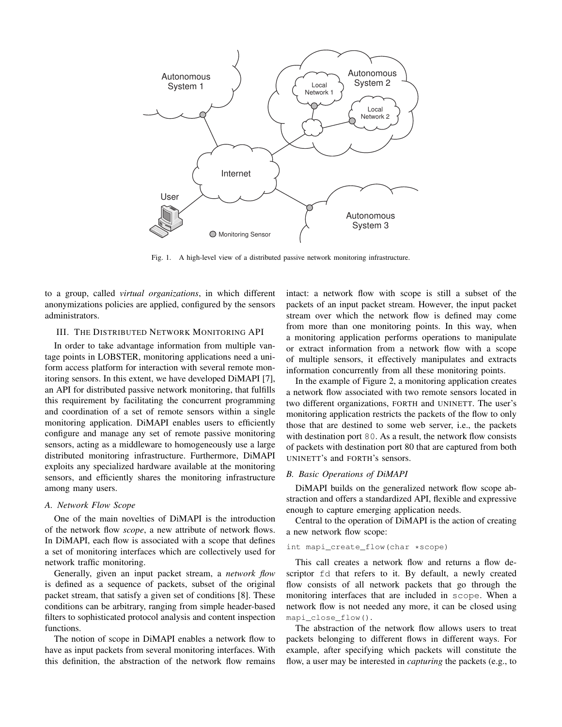

Fig. 1. A high-level view of a distributed passive network monitoring infrastructure.

to a group, called *virtual organizations*, in which different anonymizations policies are applied, configured by the sensors administrators.

# III. THE DISTRIBUTED NETWORK MONITORING API

In order to take advantage information from multiple vantage points in LOBSTER, monitoring applications need a uniform access platform for interaction with several remote monitoring sensors. In this extent, we have developed DiMAPI [7], an API for distributed passive network monitoring, that fulfills this requirement by facilitating the concurrent programming and coordination of a set of remote sensors within a single monitoring application. DiMAPI enables users to efficiently configure and manage any set of remote passive monitoring sensors, acting as a middleware to homogeneously use a large distributed monitoring infrastructure. Furthermore, DiMAPI exploits any specialized hardware available at the monitoring sensors, and efficiently shares the monitoring infrastructure among many users.

#### *A. Network Flow Scope*

One of the main novelties of DiMAPI is the introduction of the network flow *scope*, a new attribute of network flows. In DiMAPI, each flow is associated with a scope that defines a set of monitoring interfaces which are collectively used for network traffic monitoring.

Generally, given an input packet stream, a *network flow* is defined as a sequence of packets, subset of the original packet stream, that satisfy a given set of conditions [8]. These conditions can be arbitrary, ranging from simple header-based filters to sophisticated protocol analysis and content inspection functions.

The notion of scope in DiMAPI enables a network flow to have as input packets from several monitoring interfaces. With this definition, the abstraction of the network flow remains intact: a network flow with scope is still a subset of the packets of an input packet stream. However, the input packet stream over which the network flow is defined may come from more than one monitoring points. In this way, when a monitoring application performs operations to manipulate or extract information from a network flow with a scope of multiple sensors, it effectively manipulates and extracts information concurrently from all these monitoring points.

In the example of Figure 2, a monitoring application creates a network flow associated with two remote sensors located in two different organizations, FORTH and UNINETT. The user's monitoring application restricts the packets of the flow to only those that are destined to some web server, i.e., the packets with destination port 80. As a result, the network flow consists of packets with destination port 80 that are captured from both UNINETT's and FORTH's sensors.

#### *B. Basic Operations of DiMAPI*

DiMAPI builds on the generalized network flow scope abstraction and offers a standardized API, flexible and expressive enough to capture emerging application needs.

Central to the operation of DiMAPI is the action of creating a new network flow scope:

## int mapi\_create\_flow(char \*scope)

This call creates a network flow and returns a flow descriptor fd that refers to it. By default, a newly created flow consists of all network packets that go through the monitoring interfaces that are included in scope. When a network flow is not needed any more, it can be closed using mapi\_close\_flow().

The abstraction of the network flow allows users to treat packets belonging to different flows in different ways. For example, after specifying which packets will constitute the flow, a user may be interested in *capturing* the packets (e.g., to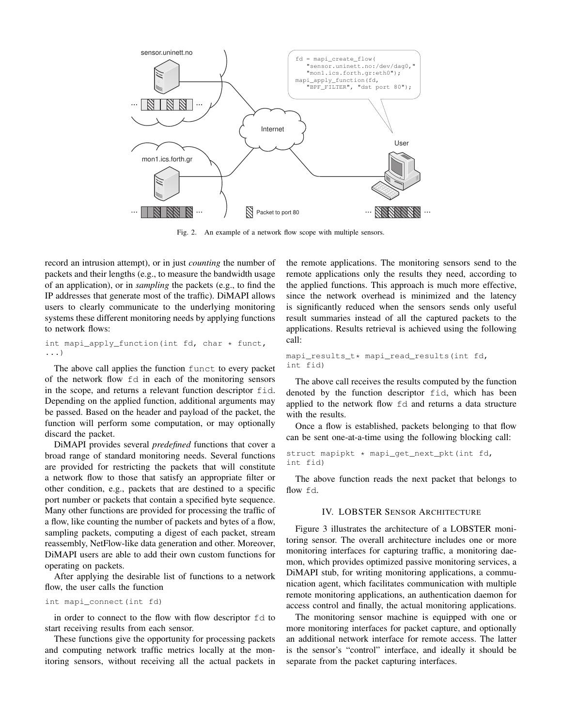

Fig. 2. An example of a network flow scope with multiple sensors.

record an intrusion attempt), or in just *counting* the number of packets and their lengths (e.g., to measure the bandwidth usage of an application), or in *sampling* the packets (e.g., to find the IP addresses that generate most of the traffic). DiMAPI allows users to clearly communicate to the underlying monitoring systems these different monitoring needs by applying functions to network flows:

```
int mapi_apply_function(int fd, char * funct,
...)
```
The above call applies the function funct to every packet of the network flow fd in each of the monitoring sensors in the scope, and returns a relevant function descriptor fid. Depending on the applied function, additional arguments may be passed. Based on the header and payload of the packet, the function will perform some computation, or may optionally discard the packet.

DiMAPI provides several *predefined* functions that cover a broad range of standard monitoring needs. Several functions are provided for restricting the packets that will constitute a network flow to those that satisfy an appropriate filter or other condition, e.g., packets that are destined to a specific port number or packets that contain a specified byte sequence. Many other functions are provided for processing the traffic of a flow, like counting the number of packets and bytes of a flow, sampling packets, computing a digest of each packet, stream reassembly, NetFlow-like data generation and other. Moreover, DiMAPI users are able to add their own custom functions for operating on packets.

After applying the desirable list of functions to a network flow, the user calls the function

# int mapi\_connect(int fd)

in order to connect to the flow with flow descriptor fd to start receiving results from each sensor.

These functions give the opportunity for processing packets and computing network traffic metrics locally at the monitoring sensors, without receiving all the actual packets in the remote applications. The monitoring sensors send to the remote applications only the results they need, according to the applied functions. This approach is much more effective, since the network overhead is minimized and the latency is significantly reduced when the sensors sends only useful result summaries instead of all the captured packets to the applications. Results retrieval is achieved using the following call:

```
mapi_results_t* mapi_read_results(int fd,
int fid)
```
The above call receives the results computed by the function denoted by the function descriptor fid, which has been applied to the network flow fd and returns a data structure with the results.

Once a flow is established, packets belonging to that flow can be sent one-at-a-time using the following blocking call:

```
struct mapipkt * mapi_get_next_pkt(int fd,
int fid)
```
The above function reads the next packet that belongs to flow fd.

### IV. LOBSTER SENSOR ARCHITECTURE

Figure 3 illustrates the architecture of a LOBSTER monitoring sensor. The overall architecture includes one or more monitoring interfaces for capturing traffic, a monitoring daemon, which provides optimized passive monitoring services, a DiMAPI stub, for writing monitoring applications, a communication agent, which facilitates communication with multiple remote monitoring applications, an authentication daemon for access control and finally, the actual monitoring applications.

The monitoring sensor machine is equipped with one or more monitoring interfaces for packet capture, and optionally an additional network interface for remote access. The latter is the sensor's "control" interface, and ideally it should be separate from the packet capturing interfaces.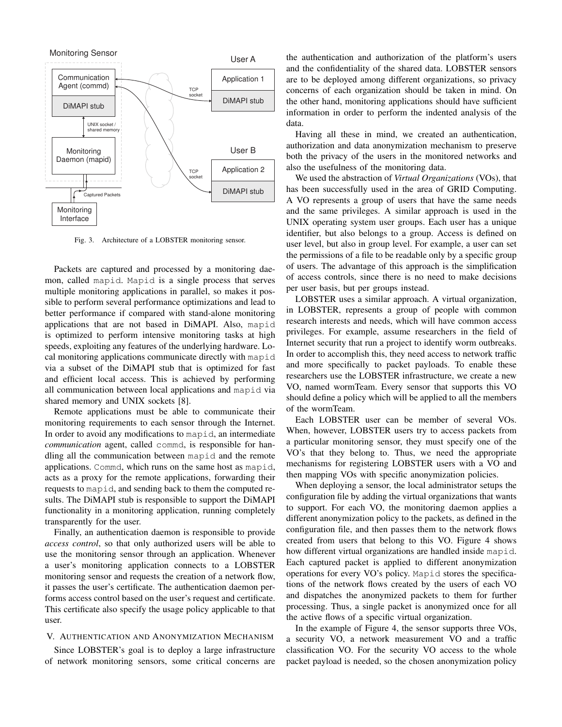

Fig. 3. Architecture of a LOBSTER monitoring sensor.

Packets are captured and processed by a monitoring daemon, called mapid. Mapid is a single process that serves multiple monitoring applications in parallel, so makes it possible to perform several performance optimizations and lead to better performance if compared with stand-alone monitoring applications that are not based in DiMAPI. Also, mapid is optimized to perform intensive monitoring tasks at high speeds, exploiting any features of the underlying hardware. Local monitoring applications communicate directly with mapid via a subset of the DiMAPI stub that is optimized for fast and efficient local access. This is achieved by performing all communication between local applications and mapid via shared memory and UNIX sockets [8].

Remote applications must be able to communicate their monitoring requirements to each sensor through the Internet. In order to avoid any modifications to mapid, an intermediate *communication* agent, called commd, is responsible for handling all the communication between mapid and the remote applications. Commd, which runs on the same host as mapid, acts as a proxy for the remote applications, forwarding their requests to mapid, and sending back to them the computed results. The DiMAPI stub is responsible to support the DiMAPI functionality in a monitoring application, running completely transparently for the user.

Finally, an authentication daemon is responsible to provide *access control*, so that only authorized users will be able to use the monitoring sensor through an application. Whenever a user's monitoring application connects to a LOBSTER monitoring sensor and requests the creation of a network flow, it passes the user's certificate. The authentication daemon performs access control based on the user's request and certificate. This certificate also specify the usage policy applicable to that user.

# V. AUTHENTICATION AND ANONYMIZATION MECHANISM

Since LOBSTER's goal is to deploy a large infrastructure of network monitoring sensors, some critical concerns are the authentication and authorization of the platform's users and the confidentiality of the shared data. LOBSTER sensors are to be deployed among different organizations, so privacy concerns of each organization should be taken in mind. On the other hand, monitoring applications should have sufficient information in order to perform the indented analysis of the data.

Having all these in mind, we created an authentication, authorization and data anonymization mechanism to preserve both the privacy of the users in the monitored networks and also the usefulness of the monitoring data.

We used the abstraction of *Virtual Organizations* (VOs), that has been successfully used in the area of GRID Computing. A VO represents a group of users that have the same needs and the same privileges. A similar approach is used in the UNIX operating system user groups. Each user has a unique identifier, but also belongs to a group. Access is defined on user level, but also in group level. For example, a user can set the permissions of a file to be readable only by a specific group of users. The advantage of this approach is the simplification of access controls, since there is no need to make decisions per user basis, but per groups instead.

LOBSTER uses a similar approach. A virtual organization, in LOBSTER, represents a group of people with common research interests and needs, which will have common access privileges. For example, assume researchers in the field of Internet security that run a project to identify worm outbreaks. In order to accomplish this, they need access to network traffic and more specifically to packet payloads. To enable these researchers use the LOBSTER infrastructure, we create a new VO, named wormTeam. Every sensor that supports this VO should define a policy which will be applied to all the members of the wormTeam.

Each LOBSTER user can be member of several VOs. When, however, LOBSTER users try to access packets from a particular monitoring sensor, they must specify one of the VO's that they belong to. Thus, we need the appropriate mechanisms for registering LOBSTER users with a VO and then mapping VOs with specific anonymization policies.

When deploying a sensor, the local administrator setups the configuration file by adding the virtual organizations that wants to support. For each VO, the monitoring daemon applies a different anonymization policy to the packets, as defined in the configuration file, and then passes them to the network flows created from users that belong to this VO. Figure 4 shows how different virtual organizations are handled inside mapid. Each captured packet is applied to different anonymization operations for every VO's policy. Mapid stores the specifications of the network flows created by the users of each VO and dispatches the anonymized packets to them for further processing. Thus, a single packet is anonymized once for all the active flows of a specific virtual organization.

In the example of Figure 4, the sensor supports three VOs, a security VO, a network measurement VO and a traffic classification VO. For the security VO access to the whole packet payload is needed, so the chosen anonymization policy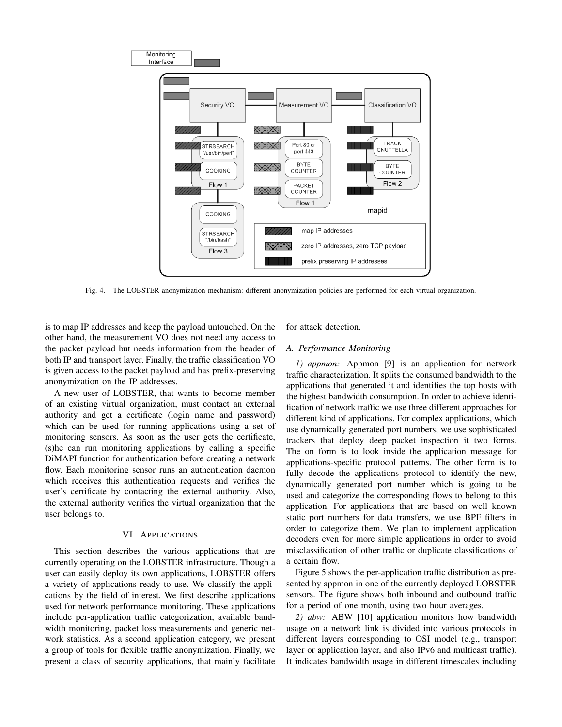

Fig. 4. The LOBSTER anonymization mechanism: different anonymization policies are performed for each virtual organization.

is to map IP addresses and keep the payload untouched. On the other hand, the measurement VO does not need any access to the packet payload but needs information from the header of both IP and transport layer. Finally, the traffic classification VO is given access to the packet payload and has prefix-preserving anonymization on the IP addresses.

A new user of LOBSTER, that wants to become member of an existing virtual organization, must contact an external authority and get a certificate (login name and password) which can be used for running applications using a set of monitoring sensors. As soon as the user gets the certificate, (s)he can run monitoring applications by calling a specific DiMAPI function for authentication before creating a network flow. Each monitoring sensor runs an authentication daemon which receives this authentication requests and verifies the user's certificate by contacting the external authority. Also, the external authority verifies the virtual organization that the user belongs to.

### VI. APPLICATIONS

This section describes the various applications that are currently operating on the LOBSTER infrastructure. Though a user can easily deploy its own applications, LOBSTER offers a variety of applications ready to use. We classify the applications by the field of interest. We first describe applications used for network performance monitoring. These applications include per-application traffic categorization, available bandwidth monitoring, packet loss measurements and generic network statistics. As a second application category, we present a group of tools for flexible traffic anonymization. Finally, we present a class of security applications, that mainly facilitate for attack detection.

#### *A. Performance Monitoring*

*1) appmon:* Appmon [9] is an application for network traffic characterization. It splits the consumed bandwidth to the applications that generated it and identifies the top hosts with the highest bandwidth consumption. In order to achieve identification of network traffic we use three different approaches for different kind of applications. For complex applications, which use dynamically generated port numbers, we use sophisticated trackers that deploy deep packet inspection it two forms. The on form is to look inside the application message for applications-specific protocol patterns. The other form is to fully decode the applications protocol to identify the new, dynamically generated port number which is going to be used and categorize the corresponding flows to belong to this application. For applications that are based on well known static port numbers for data transfers, we use BPF filters in order to categorize them. We plan to implement application decoders even for more simple applications in order to avoid misclassification of other traffic or duplicate classifications of a certain flow.

Figure 5 shows the per-application traffic distribution as presented by appmon in one of the currently deployed LOBSTER sensors. The figure shows both inbound and outbound traffic for a period of one month, using two hour averages.

*2) abw:* ABW [10] application monitors how bandwidth usage on a network link is divided into various protocols in different layers corresponding to OSI model (e.g., transport layer or application layer, and also IPv6 and multicast traffic). It indicates bandwidth usage in different timescales including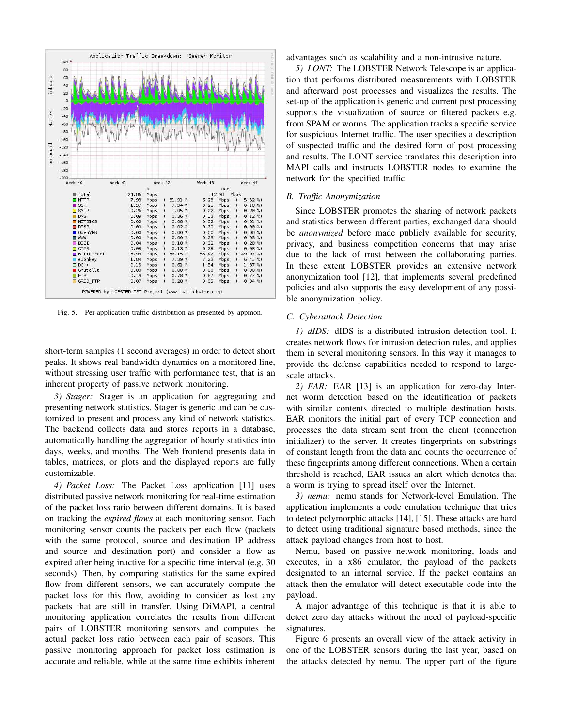

Fig. 5. Per-application traffic distribution as presented by appmon.

short-term samples (1 second averages) in order to detect short peaks. It shows real bandwidth dynamics on a monitored line, without stressing user traffic with performance test, that is an inherent property of passive network monitoring.

*3) Stager:* Stager is an application for aggregating and presenting network statistics. Stager is generic and can be customized to present and process any kind of network statistics. The backend collects data and stores reports in a database, automatically handling the aggregation of hourly statistics into days, weeks, and months. The Web frontend presents data in tables, matrices, or plots and the displayed reports are fully customizable.

*4) Packet Loss:* The Packet Loss application [11] uses distributed passive network monitoring for real-time estimation of the packet loss ratio between different domains. It is based on tracking the *expired flows* at each monitoring sensor. Each monitoring sensor counts the packets per each flow (packets with the same protocol, source and destination IP address and source and destination port) and consider a flow as expired after being inactive for a specific time interval (e.g. 30 seconds). Then, by comparing statistics for the same expired flow from different sensors, we can accurately compute the packet loss for this flow, avoiding to consider as lost any packets that are still in transfer. Using DiMAPI, a central monitoring application correlates the results from different pairs of LOBSTER monitoring sensors and computes the actual packet loss ratio between each pair of sensors. This passive monitoring approach for packet loss estimation is accurate and reliable, while at the same time exhibits inherent

advantages such as scalability and a non-intrusive nature.

*5) LONT:* The LOBSTER Network Telescope is an application that performs distributed measurements with LOBSTER and afterward post processes and visualizes the results. The set-up of the application is generic and current post processing supports the visualization of source or filtered packets e.g. from SPAM or worms. The application tracks a specific service for suspicious Internet traffic. The user specifies a description of suspected traffic and the desired form of post processing and results. The LONT service translates this description into MAPI calls and instructs LOBSTER nodes to examine the network for the specified traffic.

## *B. Traffic Anonymization*

Since LOBSTER promotes the sharing of network packets and statistics between different parties, exchanged data should be *anonymized* before made publicly available for security, privacy, and business competition concerns that may arise due to the lack of trust between the collaborating parties. In these extent LOBSTER provides an extensive network anonymization tool [12], that implements several predefined policies and also supports the easy development of any possible anonymization policy.

# *C. Cyberattack Detection*

*1) dIDS:* dIDS is a distributed intrusion detection tool. It creates network flows for intrusion detection rules, and applies them in several monitoring sensors. In this way it manages to provide the defense capabilities needed to respond to largescale attacks.

*2) EAR:* EAR [13] is an application for zero-day Internet worm detection based on the identification of packets with similar contents directed to multiple destination hosts. EAR monitors the initial part of every TCP connection and processes the data stream sent from the client (connection initializer) to the server. It creates fingerprints on substrings of constant length from the data and counts the occurrence of these fingerprints among different connections. When a certain threshold is reached, EAR issues an alert which denotes that a worm is trying to spread itself over the Internet.

*3) nemu:* nemu stands for Network-level Emulation. The application implements a code emulation technique that tries to detect polymorphic attacks [14], [15]. These attacks are hard to detect using traditional signature based methods, since the attack payload changes from host to host.

Nemu, based on passive network monitoring, loads and executes, in a x86 emulator, the payload of the packets designated to an internal service. If the packet contains an attack then the emulator will detect executable code into the payload.

A major advantage of this technique is that it is able to detect zero day attacks without the need of payload-specific signatures.

Figure 6 presents an overall view of the attack activity in one of the LOBSTER sensors during the last year, based on the attacks detected by nemu. The upper part of the figure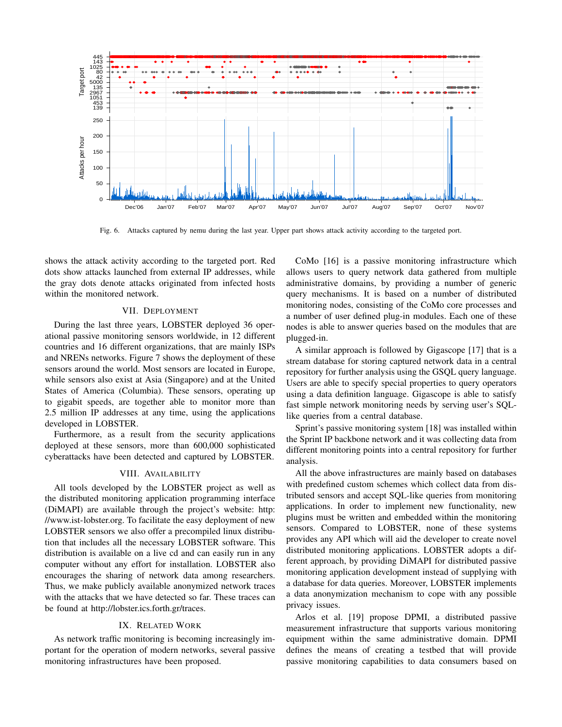

Fig. 6. Attacks captured by nemu during the last year. Upper part shows attack activity according to the targeted port.

shows the attack activity according to the targeted port. Red dots show attacks launched from external IP addresses, while the gray dots denote attacks originated from infected hosts within the monitored network.

#### VII. DEPLOYMENT

During the last three years, LOBSTER deployed 36 operational passive monitoring sensors worldwide, in 12 different countries and 16 different organizations, that are mainly ISPs and NRENs networks. Figure 7 shows the deployment of these sensors around the world. Most sensors are located in Europe, while sensors also exist at Asia (Singapore) and at the United States of America (Columbia). These sensors, operating up to gigabit speeds, are together able to monitor more than 2.5 million IP addresses at any time, using the applications developed in LOBSTER.

Furthermore, as a result from the security applications deployed at these sensors, more than 600,000 sophisticated cyberattacks have been detected and captured by LOBSTER.

## VIII. AVAILABILITY

All tools developed by the LOBSTER project as well as the distributed monitoring application programming interface (DiMAPI) are available through the project's website: http: //www.ist-lobster.org. To facilitate the easy deployment of new LOBSTER sensors we also offer a precompiled linux distribution that includes all the necessary LOBSTER software. This distribution is available on a live cd and can easily run in any computer without any effort for installation. LOBSTER also encourages the sharing of network data among researchers. Thus, we make publicly available anonymized network traces with the attacks that we have detected so far. These traces can be found at http://lobster.ics.forth.gr/traces.

### IX. RELATED WORK

As network traffic monitoring is becoming increasingly important for the operation of modern networks, several passive monitoring infrastructures have been proposed.

CoMo [16] is a passive monitoring infrastructure which allows users to query network data gathered from multiple administrative domains, by providing a number of generic query mechanisms. It is based on a number of distributed monitoring nodes, consisting of the CoMo core processes and a number of user defined plug-in modules. Each one of these nodes is able to answer queries based on the modules that are plugged-in.

A similar approach is followed by Gigascope [17] that is a stream database for storing captured network data in a central repository for further analysis using the GSQL query language. Users are able to specify special properties to query operators using a data definition language. Gigascope is able to satisfy fast simple network monitoring needs by serving user's SQLlike queries from a central database.

Sprint's passive monitoring system [18] was installed within the Sprint IP backbone network and it was collecting data from different monitoring points into a central repository for further analysis.

All the above infrastructures are mainly based on databases with predefined custom schemes which collect data from distributed sensors and accept SQL-like queries from monitoring applications. In order to implement new functionality, new plugins must be written and embedded within the monitoring sensors. Compared to LOBSTER, none of these systems provides any API which will aid the developer to create novel distributed monitoring applications. LOBSTER adopts a different approach, by providing DiMAPI for distributed passive monitoring application development instead of supplying with a database for data queries. Moreover, LOBSTER implements a data anonymization mechanism to cope with any possible privacy issues.

Arlos et al. [19] propose DPMI, a distributed passive measurement infrastructure that supports various monitoring equipment within the same administrative domain. DPMI defines the means of creating a testbed that will provide passive monitoring capabilities to data consumers based on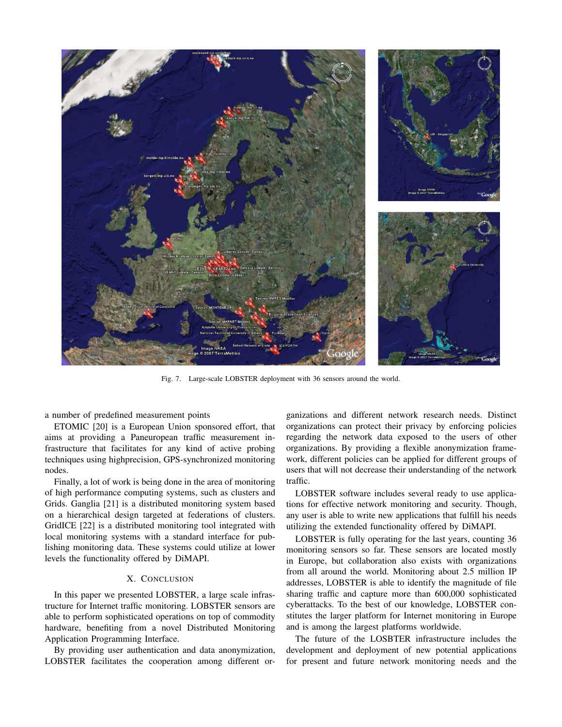

Fig. 7. Large-scale LOBSTER deployment with 36 sensors around the world.

a number of predefined measurement points

ETOMIC [20] is a European Union sponsored effort, that aims at providing a Paneuropean traffic measurement infrastructure that facilitates for any kind of active probing techniques using highprecision, GPS-synchronized monitoring nodes.

Finally, a lot of work is being done in the area of monitoring of high performance computing systems, such as clusters and Grids. Ganglia [21] is a distributed monitoring system based on a hierarchical design targeted at federations of clusters. GridICE [22] is a distributed monitoring tool integrated with local monitoring systems with a standard interface for publishing monitoring data. These systems could utilize at lower levels the functionality offered by DiMAPI.

## X. CONCLUSION

In this paper we presented LOBSTER, a large scale infrastructure for Internet traffic monitoring. LOBSTER sensors are able to perform sophisticated operations on top of commodity hardware, benefiting from a novel Distributed Monitoring Application Programming Interface.

By providing user authentication and data anonymization, LOBSTER facilitates the cooperation among different or-

ganizations and different network research needs. Distinct organizations can protect their privacy by enforcing policies regarding the network data exposed to the users of other organizations. By providing a flexible anonymization framework, different policies can be applied for different groups of users that will not decrease their understanding of the network traffic.

LOBSTER software includes several ready to use applications for effective network monitoring and security. Though, any user is able to write new applications that fulfill his needs utilizing the extended functionality offered by DiMAPI.

LOBSTER is fully operating for the last years, counting 36 monitoring sensors so far. These sensors are located mostly in Europe, but collaboration also exists with organizations from all around the world. Monitoring about 2.5 million IP addresses, LOBSTER is able to identify the magnitude of file sharing traffic and capture more than 600,000 sophisticated cyberattacks. To the best of our knowledge, LOBSTER constitutes the larger platform for Internet monitoring in Europe and is among the largest platforms worldwide.

The future of the LOSBTER infrastructure includes the development and deployment of new potential applications for present and future network monitoring needs and the